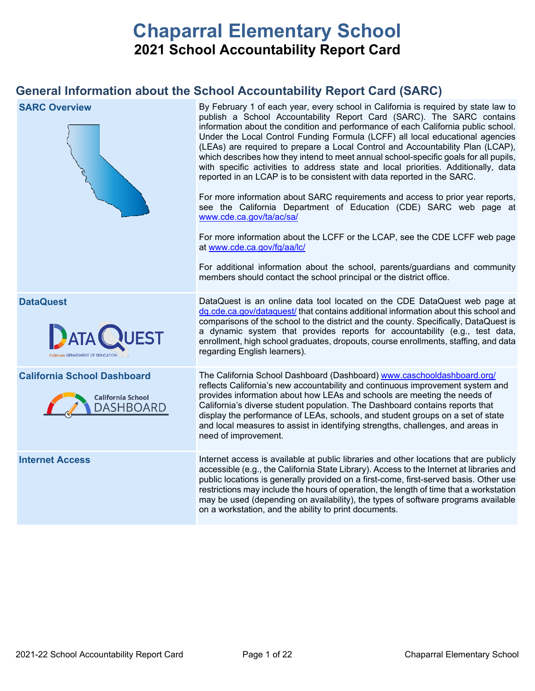# **Chaparral Elementary School 2021 School Accountability Report Card**

# **General Information about the School Accountability Report Card (SARC)**

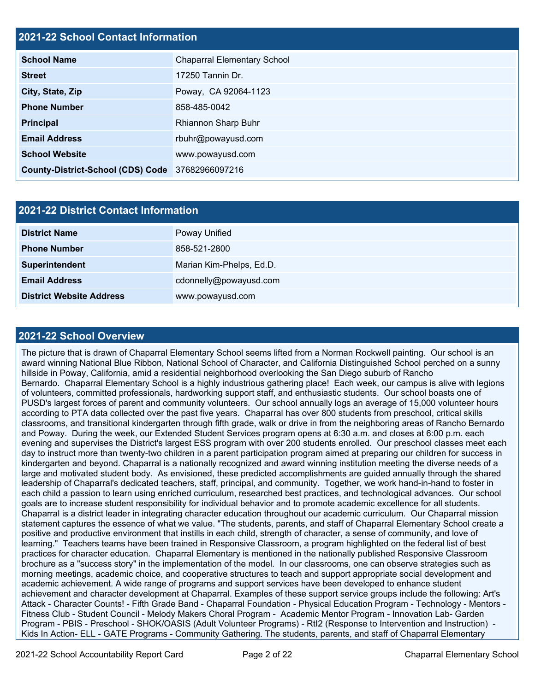#### **2021-22 School Contact Information**

| <b>School Name</b>                       | <b>Chaparral Elementary School</b> |
|------------------------------------------|------------------------------------|
| <b>Street</b>                            | 17250 Tannin Dr.                   |
| City, State, Zip                         | Poway, CA 92064-1123               |
| <b>Phone Number</b>                      | 858-485-0042                       |
| <b>Principal</b>                         | Rhiannon Sharp Buhr                |
| <b>Email Address</b>                     | rbuhr@powayusd.com                 |
| <b>School Website</b>                    | www.powayusd.com                   |
| <b>County-District-School (CDS) Code</b> | 37682966097216                     |

| <b>2021-22 District Contact Information</b> |                          |  |  |  |
|---------------------------------------------|--------------------------|--|--|--|
| <b>District Name</b>                        | Poway Unified            |  |  |  |
| <b>Phone Number</b>                         | 858-521-2800             |  |  |  |
| Superintendent                              | Marian Kim-Phelps, Ed.D. |  |  |  |
| <b>Email Address</b>                        | cdonnelly@powayusd.com   |  |  |  |
| <b>District Website Address</b>             | www.powayusd.com         |  |  |  |

#### **2021-22 School Overview**

The picture that is drawn of Chaparral Elementary School seems lifted from a Norman Rockwell painting. Our school is an award winning National Blue Ribbon, National School of Character, and California Distinguished School perched on a sunny hillside in Poway, California, amid a residential neighborhood overlooking the San Diego suburb of Rancho Bernardo. Chaparral Elementary School is a highly industrious gathering place! Each week, our campus is alive with legions of volunteers, committed professionals, hardworking support staff, and enthusiastic students. Our school boasts one of PUSD's largest forces of parent and community volunteers. Our school annually logs an average of 15,000 volunteer hours according to PTA data collected over the past five years. Chaparral has over 800 students from preschool, critical skills classrooms, and transitional kindergarten through fifth grade, walk or drive in from the neighboring areas of Rancho Bernardo and Poway. During the week, our Extended Student Services program opens at 6:30 a.m. and closes at 6:00 p.m. each evening and supervises the District's largest ESS program with over 200 students enrolled. Our preschool classes meet each day to instruct more than twenty-two children in a parent participation program aimed at preparing our children for success in kindergarten and beyond. Chaparral is a nationally recognized and award winning institution meeting the diverse needs of a large and motivated student body. As envisioned, these predicted accomplishments are guided annually through the shared leadership of Chaparral's dedicated teachers, staff, principal, and community. Together, we work hand-in-hand to foster in each child a passion to learn using enriched curriculum, researched best practices, and technological advances. Our school goals are to increase student responsibility for individual behavior and to promote academic excellence for all students. Chaparral is a district leader in integrating character education throughout our academic curriculum. Our Chaparral mission statement captures the essence of what we value. "The students, parents, and staff of Chaparral Elementary School create a positive and productive environment that instills in each child, strength of character, a sense of community, and love of learning." Teachers teams have been trained in Responsive Classroom, a program highlighted on the federal list of best practices for character education. Chaparral Elementary is mentioned in the nationally published Responsive Classroom brochure as a "success story" in the implementation of the model. In our classrooms, one can observe strategies such as morning meetings, academic choice, and cooperative structures to teach and support appropriate social development and academic achievement. A wide range of programs and support services have been developed to enhance student achievement and character development at Chaparral. Examples of these support service groups include the following: Art's Attack - Character Counts! - Fifth Grade Band - Chaparral Foundation - Physical Education Program - Technology - Mentors - Fitness Club - Student Council - Melody Makers Choral Program - Academic Mentor Program - Innovation Lab- Garden Program - PBIS - Preschool - SHOK/OASIS (Adult Volunteer Programs) - RtI2 (Response to Intervention and Instruction) - Kids In Action- ELL - GATE Programs - Community Gathering. The students, parents, and staff of Chaparral Elementary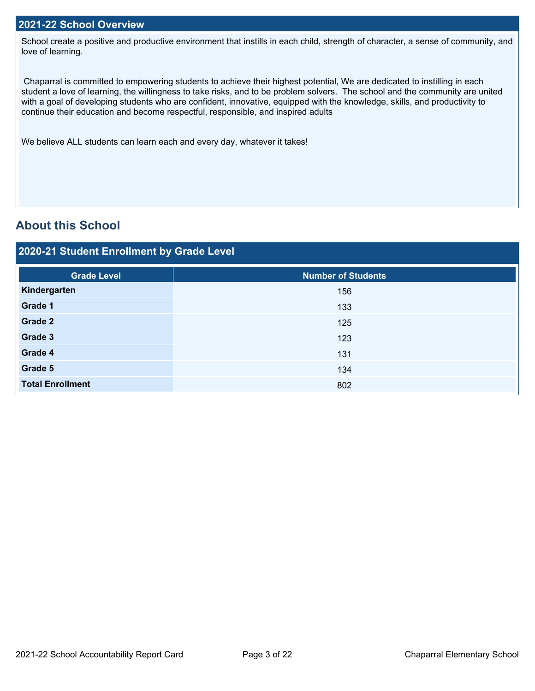School create a positive and productive environment that instills in each child, strength of character, a sense of community, and love of learning.

Chaparral is committed to empowering students to achieve their highest potential, We are dedicated to instilling in each student a love of learning, the willingness to take risks, and to be problem solvers. The school and the community are united with a goal of developing students who are confident, innovative, equipped with the knowledge, skills, and productivity to continue their education and become respectful, responsible, and inspired adults

We believe ALL students can learn each and every day, whatever it takes!

# **About this School**

### **2020-21 Student Enrollment by Grade Level**

| <b>Grade Level</b>      | Number of Students |
|-------------------------|--------------------|
| Kindergarten            | 156                |
| Grade 1                 | 133                |
| Grade 2                 | 125                |
| Grade 3                 | 123                |
| Grade 4                 | 131                |
| Grade 5                 | 134                |
| <b>Total Enrollment</b> | 802                |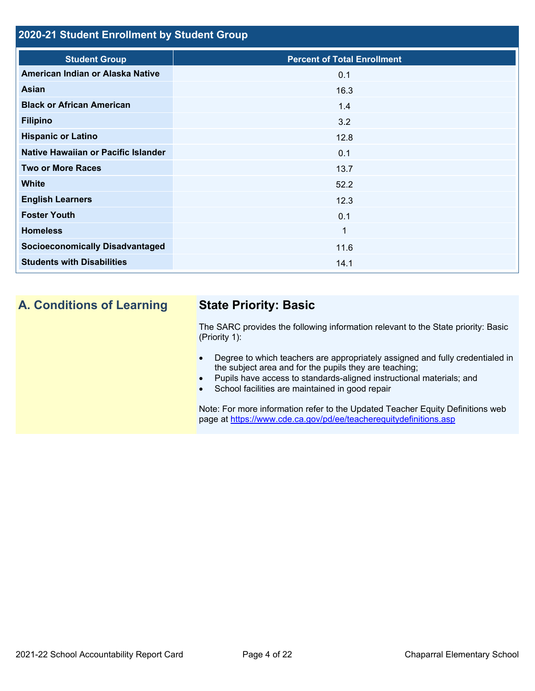### **2020-21 Student Enrollment by Student Group**

| <b>Percent of Total Enrollment</b> |
|------------------------------------|
| 0.1                                |
| 16.3                               |
| 1.4                                |
| 3.2                                |
| 12.8                               |
| 0.1                                |
| 13.7                               |
| 52.2                               |
| 12.3                               |
| 0.1                                |
| $\mathbf{1}$                       |
| 11.6                               |
| 14.1                               |
|                                    |

# **A. Conditions of Learning State Priority: Basic**

The SARC provides the following information relevant to the State priority: Basic (Priority 1):

- Degree to which teachers are appropriately assigned and fully credentialed in the subject area and for the pupils they are teaching;
- Pupils have access to standards-aligned instructional materials; and
- School facilities are maintained in good repair

Note: For more information refer to the Updated Teacher Equity Definitions web page at<https://www.cde.ca.gov/pd/ee/teacherequitydefinitions.asp>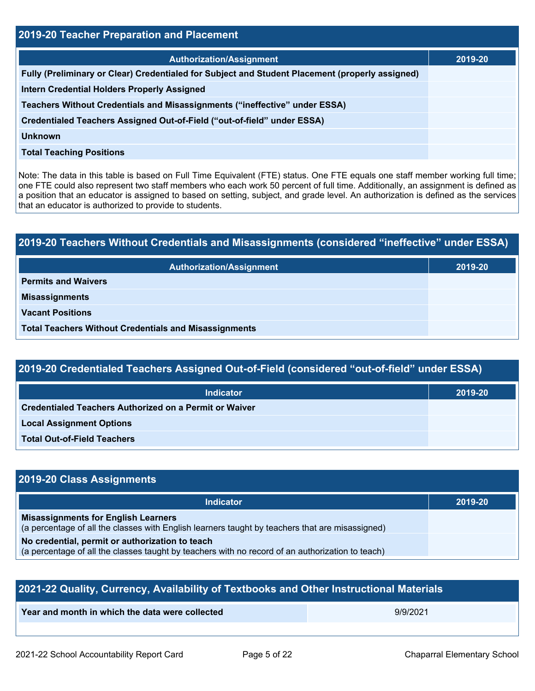| <b>2019-20 Teacher Preparation and Placement</b>                                                |         |  |  |  |
|-------------------------------------------------------------------------------------------------|---------|--|--|--|
| <b>Authorization/Assignment</b>                                                                 | 2019-20 |  |  |  |
| Fully (Preliminary or Clear) Credentialed for Subject and Student Placement (properly assigned) |         |  |  |  |
| <b>Intern Credential Holders Properly Assigned</b>                                              |         |  |  |  |
| Teachers Without Credentials and Misassignments ("ineffective" under ESSA)                      |         |  |  |  |
| Credentialed Teachers Assigned Out-of-Field ("out-of-field" under ESSA)                         |         |  |  |  |
| Unknown                                                                                         |         |  |  |  |
| <b>Total Teaching Positions</b>                                                                 |         |  |  |  |

Note: The data in this table is based on Full Time Equivalent (FTE) status. One FTE equals one staff member working full time; one FTE could also represent two staff members who each work 50 percent of full time. Additionally, an assignment is defined as a position that an educator is assigned to based on setting, subject, and grade level. An authorization is defined as the services that an educator is authorized to provide to students.

# **2019-20 Teachers Without Credentials and Misassignments (considered "ineffective" under ESSA) Authorization/Assignment 2019-20 Permits and Waivers Misassignments Vacant Positions Total Teachers Without Credentials and Misassignments**

| 2019-20 Credentialed Teachers Assigned Out-of-Field (considered "out-of-field" under ESSA) |         |  |  |  |
|--------------------------------------------------------------------------------------------|---------|--|--|--|
| <b>Indicator</b>                                                                           | 2019-20 |  |  |  |
| Credentialed Teachers Authorized on a Permit or Waiver                                     |         |  |  |  |
| <b>Local Assignment Options</b>                                                            |         |  |  |  |
| <b>Total Out-of-Field Teachers</b>                                                         |         |  |  |  |

# **2019-20 Class Assignments**

| Indicator                                                                                                                                     | 2019-20 |
|-----------------------------------------------------------------------------------------------------------------------------------------------|---------|
| <b>Misassignments for English Learners</b><br>(a percentage of all the classes with English learners taught by teachers that are misassigned) |         |
| No credential, permit or authorization to teach                                                                                               |         |
| (a percentage of all the classes taught by teachers with no record of an authorization to teach)                                              |         |

| 2021-22 Quality, Currency, Availability of Textbooks and Other Instructional Materials |          |  |  |  |
|----------------------------------------------------------------------------------------|----------|--|--|--|
| Year and month in which the data were collected                                        | 9/9/2021 |  |  |  |
|                                                                                        |          |  |  |  |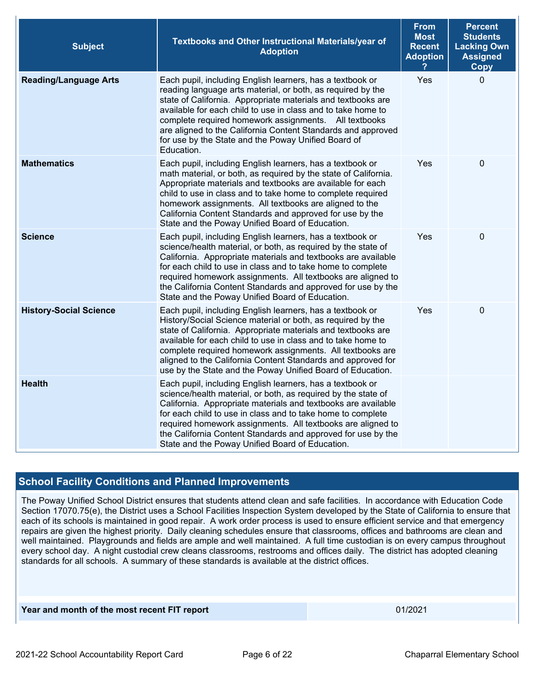| <b>Subject</b>                | Textbooks and Other Instructional Materials/year of<br><b>Adoption</b>                                                                                                                                                                                                                                                                                                                                                                                 | <b>From</b><br><b>Most</b><br><b>Recent</b><br><b>Adoption</b> | <b>Percent</b><br><b>Students</b><br><b>Lacking Own</b><br><b>Assigned</b><br><b>Copy</b> |
|-------------------------------|--------------------------------------------------------------------------------------------------------------------------------------------------------------------------------------------------------------------------------------------------------------------------------------------------------------------------------------------------------------------------------------------------------------------------------------------------------|----------------------------------------------------------------|-------------------------------------------------------------------------------------------|
| <b>Reading/Language Arts</b>  | Each pupil, including English learners, has a textbook or<br>reading language arts material, or both, as required by the<br>state of California. Appropriate materials and textbooks are<br>available for each child to use in class and to take home to<br>complete required homework assignments. All textbooks<br>are aligned to the California Content Standards and approved<br>for use by the State and the Poway Unified Board of<br>Education. | Yes                                                            | $\mathbf 0$                                                                               |
| <b>Mathematics</b>            | Each pupil, including English learners, has a textbook or<br>math material, or both, as required by the state of California.<br>Appropriate materials and textbooks are available for each<br>child to use in class and to take home to complete required<br>homework assignments. All textbooks are aligned to the<br>California Content Standards and approved for use by the<br>State and the Poway Unified Board of Education.                     | Yes                                                            | $\mathbf 0$                                                                               |
| <b>Science</b>                | Each pupil, including English learners, has a textbook or<br>science/health material, or both, as required by the state of<br>California. Appropriate materials and textbooks are available<br>for each child to use in class and to take home to complete<br>required homework assignments. All textbooks are aligned to<br>the California Content Standards and approved for use by the<br>State and the Poway Unified Board of Education.           | <b>Yes</b>                                                     | $\boldsymbol{0}$                                                                          |
| <b>History-Social Science</b> | Each pupil, including English learners, has a textbook or<br>History/Social Science material or both, as required by the<br>state of California. Appropriate materials and textbooks are<br>available for each child to use in class and to take home to<br>complete required homework assignments. All textbooks are<br>aligned to the California Content Standards and approved for<br>use by the State and the Poway Unified Board of Education.    | Yes                                                            | $\boldsymbol{0}$                                                                          |
| <b>Health</b>                 | Each pupil, including English learners, has a textbook or<br>science/health material, or both, as required by the state of<br>California. Appropriate materials and textbooks are available<br>for each child to use in class and to take home to complete<br>required homework assignments. All textbooks are aligned to<br>the California Content Standards and approved for use by the<br>State and the Poway Unified Board of Education.           |                                                                |                                                                                           |

#### **School Facility Conditions and Planned Improvements**

The Poway Unified School District ensures that students attend clean and safe facilities. In accordance with Education Code Section 17070.75(e), the District uses a School Facilities Inspection System developed by the State of California to ensure that each of its schools is maintained in good repair. A work order process is used to ensure efficient service and that emergency repairs are given the highest priority. Daily cleaning schedules ensure that classrooms, offices and bathrooms are clean and well maintained. Playgrounds and fields are ample and well maintained. A full time custodian is on every campus throughout every school day. A night custodial crew cleans classrooms, restrooms and offices daily. The district has adopted cleaning standards for all schools. A summary of these standards is available at the district offices.

**Year and month of the most recent FIT report** 01/2021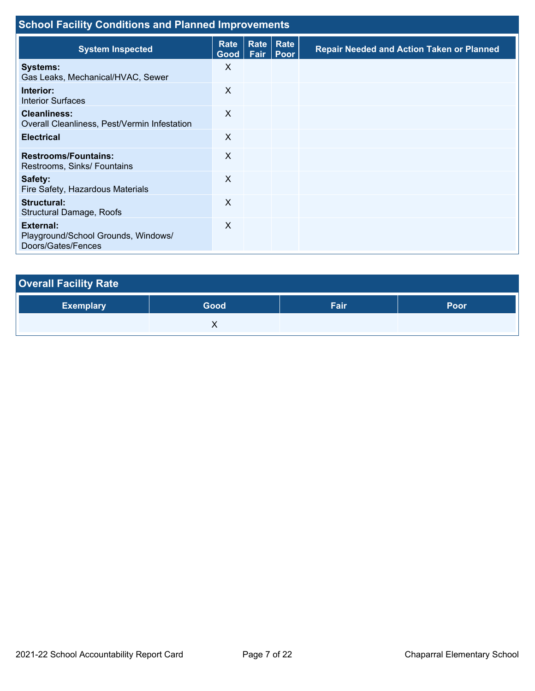| <b>School Facility Conditions and Planned Improvements</b>             |                           |              |              |                                                  |  |  |
|------------------------------------------------------------------------|---------------------------|--------------|--------------|--------------------------------------------------|--|--|
| <b>System Inspected</b>                                                | Rate<br>Good <sub>1</sub> | Rate<br>Fair | Rate<br>Poor | <b>Repair Needed and Action Taken or Planned</b> |  |  |
| <b>Systems:</b><br>Gas Leaks, Mechanical/HVAC, Sewer                   | X                         |              |              |                                                  |  |  |
| Interior:<br><b>Interior Surfaces</b>                                  | X                         |              |              |                                                  |  |  |
| <b>Cleanliness:</b><br>Overall Cleanliness, Pest/Vermin Infestation    | X                         |              |              |                                                  |  |  |
| <b>Electrical</b>                                                      | $\sf X$                   |              |              |                                                  |  |  |
| <b>Restrooms/Fountains:</b><br>Restrooms, Sinks/ Fountains             | X                         |              |              |                                                  |  |  |
| Safety:<br>Fire Safety, Hazardous Materials                            | X                         |              |              |                                                  |  |  |
| Structural:<br><b>Structural Damage, Roofs</b>                         | $\times$                  |              |              |                                                  |  |  |
| External:<br>Playground/School Grounds, Windows/<br>Doors/Gates/Fences | X                         |              |              |                                                  |  |  |

| <b>Overall Facility Rate</b> |      |      |      |  |  |
|------------------------------|------|------|------|--|--|
| <b>Exemplary</b>             | Good | Fair | Poor |  |  |
|                              |      |      |      |  |  |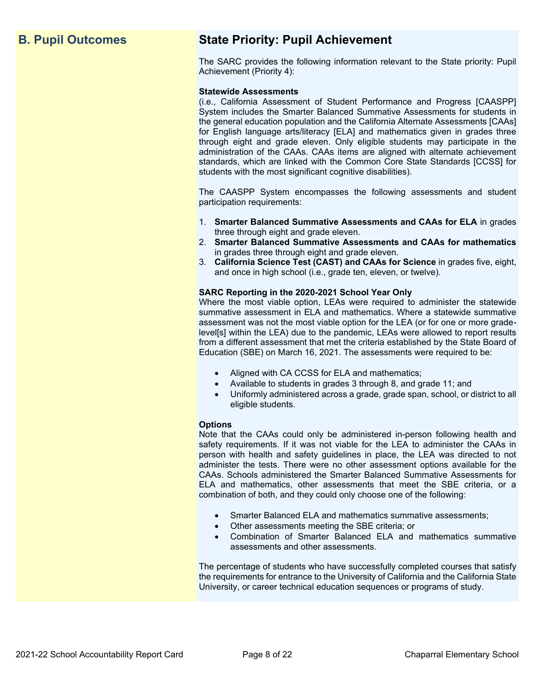# **B. Pupil Outcomes State Priority: Pupil Achievement**

The SARC provides the following information relevant to the State priority: Pupil Achievement (Priority 4):

#### **Statewide Assessments**

(i.e., California Assessment of Student Performance and Progress [CAASPP] System includes the Smarter Balanced Summative Assessments for students in the general education population and the California Alternate Assessments [CAAs] for English language arts/literacy [ELA] and mathematics given in grades three through eight and grade eleven. Only eligible students may participate in the administration of the CAAs. CAAs items are aligned with alternate achievement standards, which are linked with the Common Core State Standards [CCSS] for students with the most significant cognitive disabilities).

The CAASPP System encompasses the following assessments and student participation requirements:

- 1. **Smarter Balanced Summative Assessments and CAAs for ELA** in grades three through eight and grade eleven.
- 2. **Smarter Balanced Summative Assessments and CAAs for mathematics** in grades three through eight and grade eleven.
- 3. **California Science Test (CAST) and CAAs for Science** in grades five, eight, and once in high school (i.e., grade ten, eleven, or twelve).

#### **SARC Reporting in the 2020-2021 School Year Only**

Where the most viable option, LEAs were required to administer the statewide summative assessment in ELA and mathematics. Where a statewide summative assessment was not the most viable option for the LEA (or for one or more gradelevel[s] within the LEA) due to the pandemic, LEAs were allowed to report results from a different assessment that met the criteria established by the State Board of Education (SBE) on March 16, 2021. The assessments were required to be:

- Aligned with CA CCSS for ELA and mathematics;
- Available to students in grades 3 through 8, and grade 11; and
- Uniformly administered across a grade, grade span, school, or district to all eligible students.

#### **Options**

Note that the CAAs could only be administered in-person following health and safety requirements. If it was not viable for the LEA to administer the CAAs in person with health and safety guidelines in place, the LEA was directed to not administer the tests. There were no other assessment options available for the CAAs. Schools administered the Smarter Balanced Summative Assessments for ELA and mathematics, other assessments that meet the SBE criteria, or a combination of both, and they could only choose one of the following:

- Smarter Balanced ELA and mathematics summative assessments;
- Other assessments meeting the SBE criteria; or
- Combination of Smarter Balanced ELA and mathematics summative assessments and other assessments.

The percentage of students who have successfully completed courses that satisfy the requirements for entrance to the University of California and the California State University, or career technical education sequences or programs of study.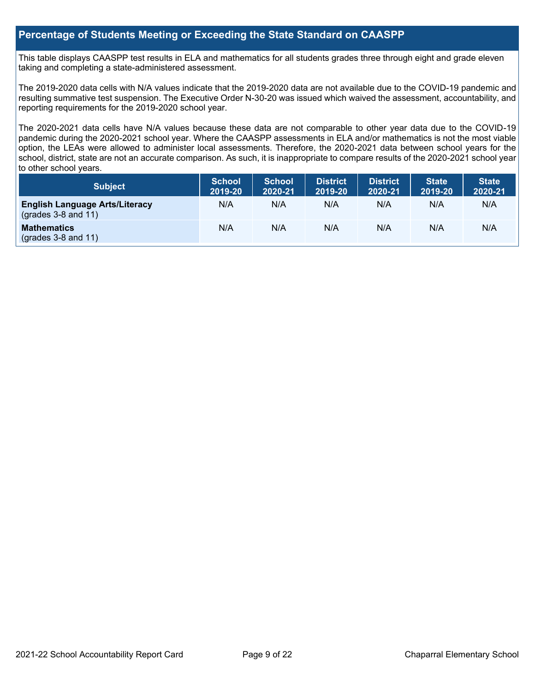#### **Percentage of Students Meeting or Exceeding the State Standard on CAASPP**

This table displays CAASPP test results in ELA and mathematics for all students grades three through eight and grade eleven taking and completing a state-administered assessment.

The 2019-2020 data cells with N/A values indicate that the 2019-2020 data are not available due to the COVID-19 pandemic and resulting summative test suspension. The Executive Order N-30-20 was issued which waived the assessment, accountability, and reporting requirements for the 2019-2020 school year.

The 2020-2021 data cells have N/A values because these data are not comparable to other year data due to the COVID-19 pandemic during the 2020-2021 school year. Where the CAASPP assessments in ELA and/or mathematics is not the most viable option, the LEAs were allowed to administer local assessments. Therefore, the 2020-2021 data between school years for the school, district, state are not an accurate comparison. As such, it is inappropriate to compare results of the 2020-2021 school year to other school years.

| Subject                                                        | <b>School</b><br>2019-20 | <b>School</b><br>2020-21 | <b>District</b><br>2019-20 | <b>District</b><br>2020-21 | <b>State</b><br>2019-20 | <b>State</b><br>2020-21 |
|----------------------------------------------------------------|--------------------------|--------------------------|----------------------------|----------------------------|-------------------------|-------------------------|
| <b>English Language Arts/Literacy</b><br>$(grades 3-8 and 11)$ | N/A                      | N/A                      | N/A                        | N/A                        | N/A                     | N/A                     |
| <b>Mathematics</b><br>$($ grades 3-8 and 11 $)$                | N/A                      | N/A                      | N/A                        | N/A                        | N/A                     | N/A                     |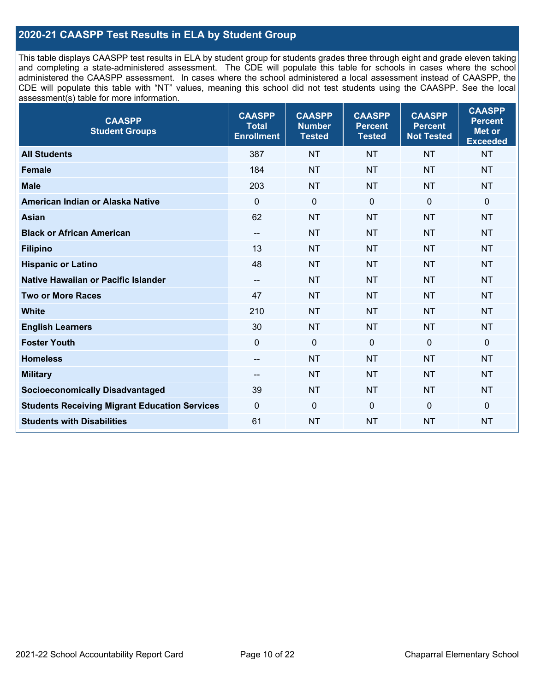#### **2020-21 CAASPP Test Results in ELA by Student Group**

This table displays CAASPP test results in ELA by student group for students grades three through eight and grade eleven taking and completing a state-administered assessment. The CDE will populate this table for schools in cases where the school administered the CAASPP assessment. In cases where the school administered a local assessment instead of CAASPP, the CDE will populate this table with "NT" values, meaning this school did not test students using the CAASPP. See the local assessment(s) table for more information.

| <b>CAASPP</b><br><b>Student Groups</b>               | <b>CAASPP</b><br><b>Total</b><br><b>Enrollment</b> | <b>CAASPP</b><br><b>Number</b><br><b>Tested</b> | <b>CAASPP</b><br><b>Percent</b><br><b>Tested</b> | <b>CAASPP</b><br><b>Percent</b><br><b>Not Tested</b> | <b>CAASPP</b><br><b>Percent</b><br><b>Met or</b><br><b>Exceeded</b> |
|------------------------------------------------------|----------------------------------------------------|-------------------------------------------------|--------------------------------------------------|------------------------------------------------------|---------------------------------------------------------------------|
| <b>All Students</b>                                  | 387                                                | <b>NT</b>                                       | <b>NT</b>                                        | <b>NT</b>                                            | <b>NT</b>                                                           |
| <b>Female</b>                                        | 184                                                | <b>NT</b>                                       | <b>NT</b>                                        | <b>NT</b>                                            | <b>NT</b>                                                           |
| <b>Male</b>                                          | 203                                                | <b>NT</b>                                       | <b>NT</b>                                        | <b>NT</b>                                            | <b>NT</b>                                                           |
| American Indian or Alaska Native                     | $\mathbf 0$                                        | $\mathbf 0$                                     | $\mathbf 0$                                      | $\mathbf 0$                                          | $\mathbf 0$                                                         |
| <b>Asian</b>                                         | 62                                                 | <b>NT</b>                                       | <b>NT</b>                                        | <b>NT</b>                                            | <b>NT</b>                                                           |
| <b>Black or African American</b>                     | $\overline{\phantom{a}}$                           | <b>NT</b>                                       | <b>NT</b>                                        | <b>NT</b>                                            | <b>NT</b>                                                           |
| <b>Filipino</b>                                      | 13                                                 | <b>NT</b>                                       | <b>NT</b>                                        | <b>NT</b>                                            | <b>NT</b>                                                           |
| <b>Hispanic or Latino</b>                            | 48                                                 | <b>NT</b>                                       | <b>NT</b>                                        | <b>NT</b>                                            | <b>NT</b>                                                           |
| Native Hawaiian or Pacific Islander                  | --                                                 | <b>NT</b>                                       | <b>NT</b>                                        | <b>NT</b>                                            | <b>NT</b>                                                           |
| <b>Two or More Races</b>                             | 47                                                 | <b>NT</b>                                       | <b>NT</b>                                        | <b>NT</b>                                            | <b>NT</b>                                                           |
| <b>White</b>                                         | 210                                                | <b>NT</b>                                       | <b>NT</b>                                        | <b>NT</b>                                            | <b>NT</b>                                                           |
| <b>English Learners</b>                              | 30                                                 | <b>NT</b>                                       | <b>NT</b>                                        | <b>NT</b>                                            | <b>NT</b>                                                           |
| <b>Foster Youth</b>                                  | $\Omega$                                           | $\mathbf 0$                                     | $\mathbf 0$                                      | $\mathbf 0$                                          | $\mathbf 0$                                                         |
| <b>Homeless</b>                                      | --                                                 | <b>NT</b>                                       | <b>NT</b>                                        | <b>NT</b>                                            | <b>NT</b>                                                           |
| <b>Military</b>                                      | --                                                 | <b>NT</b>                                       | <b>NT</b>                                        | <b>NT</b>                                            | <b>NT</b>                                                           |
| <b>Socioeconomically Disadvantaged</b>               | 39                                                 | <b>NT</b>                                       | <b>NT</b>                                        | <b>NT</b>                                            | <b>NT</b>                                                           |
| <b>Students Receiving Migrant Education Services</b> | $\mathbf 0$                                        | $\mathbf 0$                                     | $\Omega$                                         | $\mathbf 0$                                          | 0                                                                   |
| <b>Students with Disabilities</b>                    | 61                                                 | <b>NT</b>                                       | <b>NT</b>                                        | <b>NT</b>                                            | <b>NT</b>                                                           |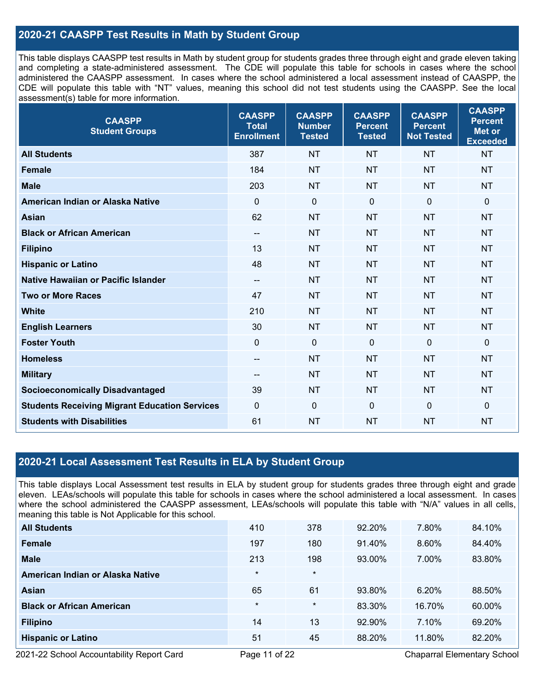### **2020-21 CAASPP Test Results in Math by Student Group**

This table displays CAASPP test results in Math by student group for students grades three through eight and grade eleven taking and completing a state-administered assessment. The CDE will populate this table for schools in cases where the school administered the CAASPP assessment. In cases where the school administered a local assessment instead of CAASPP, the CDE will populate this table with "NT" values, meaning this school did not test students using the CAASPP. See the local assessment(s) table for more information.

| <b>CAASPP</b><br><b>Student Groups</b>               | <b>CAASPP</b><br><b>Total</b><br><b>Enrollment</b> | <b>CAASPP</b><br><b>Number</b><br><b>Tested</b> | <b>CAASPP</b><br><b>Percent</b><br><b>Tested</b> | <b>CAASPP</b><br><b>Percent</b><br><b>Not Tested</b> | <b>CAASPP</b><br><b>Percent</b><br>Met or<br><b>Exceeded</b> |
|------------------------------------------------------|----------------------------------------------------|-------------------------------------------------|--------------------------------------------------|------------------------------------------------------|--------------------------------------------------------------|
| <b>All Students</b>                                  | 387                                                | <b>NT</b>                                       | <b>NT</b>                                        | <b>NT</b>                                            | <b>NT</b>                                                    |
| <b>Female</b>                                        | 184                                                | <b>NT</b>                                       | <b>NT</b>                                        | <b>NT</b>                                            | <b>NT</b>                                                    |
| <b>Male</b>                                          | 203                                                | <b>NT</b>                                       | <b>NT</b>                                        | <b>NT</b>                                            | <b>NT</b>                                                    |
| American Indian or Alaska Native                     | $\mathbf 0$                                        | $\mathbf 0$                                     | $\mathbf{0}$                                     | $\mathbf 0$                                          | $\mathbf 0$                                                  |
| <b>Asian</b>                                         | 62                                                 | <b>NT</b>                                       | <b>NT</b>                                        | <b>NT</b>                                            | <b>NT</b>                                                    |
| <b>Black or African American</b>                     | $\sim$                                             | NT                                              | <b>NT</b>                                        | <b>NT</b>                                            | <b>NT</b>                                                    |
| <b>Filipino</b>                                      | 13                                                 | <b>NT</b>                                       | <b>NT</b>                                        | <b>NT</b>                                            | <b>NT</b>                                                    |
| <b>Hispanic or Latino</b>                            | 48                                                 | <b>NT</b>                                       | <b>NT</b>                                        | <b>NT</b>                                            | <b>NT</b>                                                    |
| Native Hawaiian or Pacific Islander                  | $\overline{\phantom{a}}$                           | <b>NT</b>                                       | <b>NT</b>                                        | <b>NT</b>                                            | <b>NT</b>                                                    |
| <b>Two or More Races</b>                             | 47                                                 | <b>NT</b>                                       | <b>NT</b>                                        | <b>NT</b>                                            | <b>NT</b>                                                    |
| <b>White</b>                                         | 210                                                | <b>NT</b>                                       | <b>NT</b>                                        | <b>NT</b>                                            | <b>NT</b>                                                    |
| <b>English Learners</b>                              | 30                                                 | <b>NT</b>                                       | <b>NT</b>                                        | <b>NT</b>                                            | <b>NT</b>                                                    |
| <b>Foster Youth</b>                                  | $\mathbf 0$                                        | $\mathbf 0$                                     | $\mathbf 0$                                      | $\Omega$                                             | $\Omega$                                                     |
| <b>Homeless</b>                                      | --                                                 | <b>NT</b>                                       | <b>NT</b>                                        | <b>NT</b>                                            | <b>NT</b>                                                    |
| <b>Military</b>                                      | $\overline{\phantom{a}}$                           | <b>NT</b>                                       | <b>NT</b>                                        | <b>NT</b>                                            | <b>NT</b>                                                    |
| <b>Socioeconomically Disadvantaged</b>               | 39                                                 | <b>NT</b>                                       | <b>NT</b>                                        | <b>NT</b>                                            | <b>NT</b>                                                    |
| <b>Students Receiving Migrant Education Services</b> | $\mathbf 0$                                        | $\pmb{0}$                                       | $\mathbf{0}$                                     | $\overline{0}$                                       | $\mathbf 0$                                                  |
| <b>Students with Disabilities</b>                    | 61                                                 | <b>NT</b>                                       | <b>NT</b>                                        | <b>NT</b>                                            | <b>NT</b>                                                    |

#### **2020-21 Local Assessment Test Results in ELA by Student Group**

This table displays Local Assessment test results in ELA by student group for students grades three through eight and grade eleven. LEAs/schools will populate this table for schools in cases where the school administered a local assessment. In cases where the school administered the CAASPP assessment, LEAs/schools will populate this table with "N/A" values in all cells, meaning this table is Not Applicable for this school.

| <b>All Students</b>              | 410     | 378     | 92.20% | 7.80%  | 84.10% |
|----------------------------------|---------|---------|--------|--------|--------|
| <b>Female</b>                    | 197     | 180     | 91.40% | 8.60%  | 84.40% |
| <b>Male</b>                      | 213     | 198     | 93.00% | 7.00%  | 83.80% |
| American Indian or Alaska Native | $\star$ | $\star$ |        |        |        |
| Asian                            | 65      | 61      | 93.80% | 6.20%  | 88.50% |
| <b>Black or African American</b> | $\ast$  | $\star$ | 83.30% | 16.70% | 60.00% |
| <b>Filipino</b>                  | 14      | 13      | 92.90% | 7.10%  | 69.20% |
| <b>Hispanic or Latino</b>        | 51      | 45      | 88.20% | 11.80% | 82.20% |

2021-22 School Accountability Report Card Page 11 of 22 Chaparral Elementary School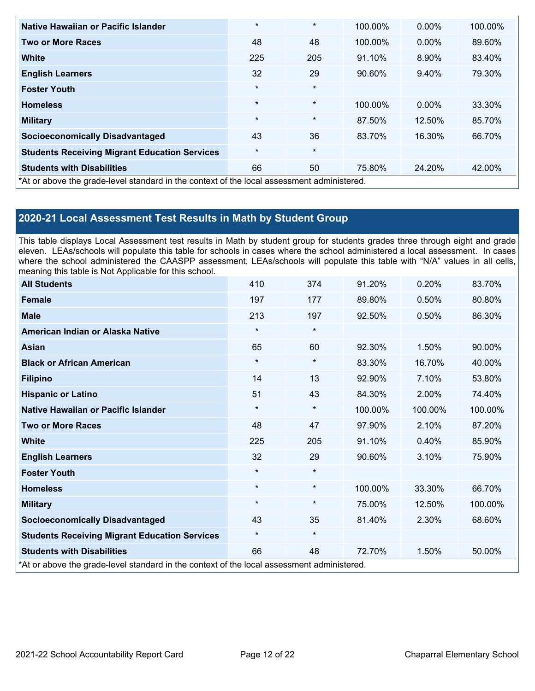| Native Hawaiian or Pacific Islander                                                        | $\star$ | $\star$ | 100.00% | $0.00\%$ | 100.00% |
|--------------------------------------------------------------------------------------------|---------|---------|---------|----------|---------|
| <b>Two or More Races</b>                                                                   | 48      | 48      | 100.00% | $0.00\%$ | 89.60%  |
| <b>White</b>                                                                               | 225     | 205     | 91.10%  | 8.90%    | 83.40%  |
| <b>English Learners</b>                                                                    | 32      | 29      | 90.60%  | 9.40%    | 79.30%  |
| <b>Foster Youth</b>                                                                        | $\star$ | $\star$ |         |          |         |
| <b>Homeless</b>                                                                            | $\star$ | $\star$ | 100.00% | $0.00\%$ | 33.30%  |
| <b>Military</b>                                                                            | $\star$ | $\star$ | 87.50%  | 12.50%   | 85.70%  |
| <b>Socioeconomically Disadvantaged</b>                                                     | 43      | 36      | 83.70%  | 16.30%   | 66.70%  |
| <b>Students Receiving Migrant Education Services</b>                                       | $\star$ | $\star$ |         |          |         |
| <b>Students with Disabilities</b>                                                          | 66      | 50      | 75.80%  | 24.20%   | 42.00%  |
| *At or above the grade-level standard in the context of the local assessment administered. |         |         |         |          |         |

## **2020-21 Local Assessment Test Results in Math by Student Group**

This table displays Local Assessment test results in Math by student group for students grades three through eight and grade eleven. LEAs/schools will populate this table for schools in cases where the school administered a local assessment. In cases where the school administered the CAASPP assessment, LEAs/schools will populate this table with "N/A" values in all cells, meaning this table is Not Applicable for this school.

| <b>All Students</b>                                                                        | 410     | 374     | 91.20%  | 0.20%   | 83.70%  |
|--------------------------------------------------------------------------------------------|---------|---------|---------|---------|---------|
| <b>Female</b>                                                                              | 197     | 177     | 89.80%  | 0.50%   | 80.80%  |
| <b>Male</b>                                                                                | 213     | 197     | 92.50%  | 0.50%   | 86.30%  |
| American Indian or Alaska Native                                                           | $\star$ | $\star$ |         |         |         |
| <b>Asian</b>                                                                               | 65      | 60      | 92.30%  | 1.50%   | 90.00%  |
| <b>Black or African American</b>                                                           | $\star$ | $\star$ | 83.30%  | 16.70%  | 40.00%  |
| <b>Filipino</b>                                                                            | 14      | 13      | 92.90%  | 7.10%   | 53.80%  |
| <b>Hispanic or Latino</b>                                                                  | 51      | 43      | 84.30%  | 2.00%   | 74.40%  |
| Native Hawaiian or Pacific Islander                                                        | $\star$ | $\star$ | 100.00% | 100.00% | 100.00% |
| <b>Two or More Races</b>                                                                   | 48      | 47      | 97.90%  | 2.10%   | 87.20%  |
| <b>White</b>                                                                               | 225     | 205     | 91.10%  | 0.40%   | 85.90%  |
| <b>English Learners</b>                                                                    | 32      | 29      | 90.60%  | 3.10%   | 75.90%  |
| <b>Foster Youth</b>                                                                        | $\star$ | $\star$ |         |         |         |
| <b>Homeless</b>                                                                            | $\star$ | $\star$ | 100.00% | 33.30%  | 66.70%  |
| <b>Military</b>                                                                            | $\star$ | $\star$ | 75.00%  | 12.50%  | 100.00% |
| <b>Socioeconomically Disadvantaged</b>                                                     | 43      | 35      | 81.40%  | 2.30%   | 68.60%  |
| <b>Students Receiving Migrant Education Services</b>                                       | $\star$ | $\star$ |         |         |         |
| <b>Students with Disabilities</b>                                                          | 66      | 48      | 72.70%  | 1.50%   | 50.00%  |
| *At or above the grade-level standard in the context of the local assessment administered. |         |         |         |         |         |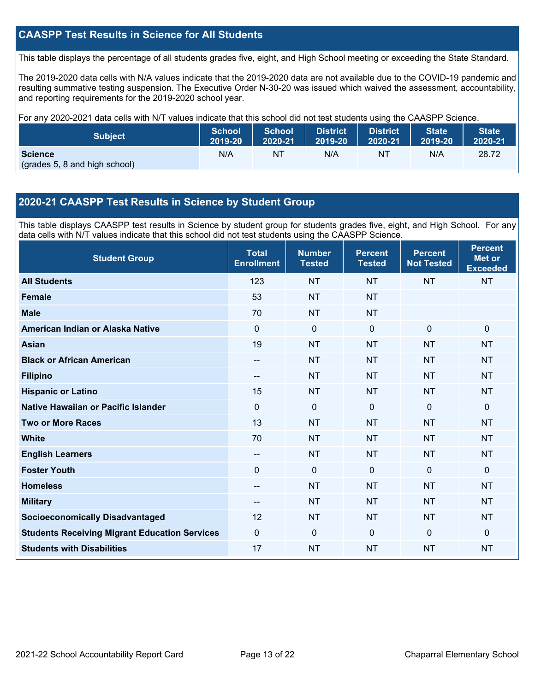#### **CAASPP Test Results in Science for All Students**

This table displays the percentage of all students grades five, eight, and High School meeting or exceeding the State Standard.

The 2019-2020 data cells with N/A values indicate that the 2019-2020 data are not available due to the COVID-19 pandemic and resulting summative testing suspension. The Executive Order N-30-20 was issued which waived the assessment, accountability, and reporting requirements for the 2019-2020 school year.

For any 2020-2021 data cells with N/T values indicate that this school did not test students using the CAASPP Science.

| <b>Subject</b>                                  | <b>School</b> | School  | <b>District</b> | <b>District</b> | <b>State</b> | <b>State</b> |
|-------------------------------------------------|---------------|---------|-----------------|-----------------|--------------|--------------|
|                                                 | 2019-20       | 2020-21 | 2019-20         | 2020-21         | 2019-20      | 2020-21      |
| <b>Science</b><br>(grades 5, 8 and high school) | N/A           | ΝT      | N/A             | ΝT              | N/A          | 28.72        |

#### **2020-21 CAASPP Test Results in Science by Student Group**

This table displays CAASPP test results in Science by student group for students grades five, eight, and High School. For any data cells with N/T values indicate that this school did not test students using the CAASPP Science.

| <b>Student Group</b>                                 | <b>Total</b><br><b>Enrollment</b> | <b>Number</b><br><b>Tested</b> | <b>Percent</b><br><b>Tested</b> | <b>Percent</b><br><b>Not Tested</b> | <b>Percent</b><br><b>Met or</b><br><b>Exceeded</b> |
|------------------------------------------------------|-----------------------------------|--------------------------------|---------------------------------|-------------------------------------|----------------------------------------------------|
| <b>All Students</b>                                  | 123                               | <b>NT</b>                      | <b>NT</b>                       | <b>NT</b>                           | <b>NT</b>                                          |
| <b>Female</b>                                        | 53                                | <b>NT</b>                      | <b>NT</b>                       |                                     |                                                    |
| <b>Male</b>                                          | 70                                | <b>NT</b>                      | <b>NT</b>                       |                                     |                                                    |
| American Indian or Alaska Native                     | $\Omega$                          | $\mathbf 0$                    | $\mathbf{0}$                    | $\mathbf 0$                         | $\mathbf 0$                                        |
| <b>Asian</b>                                         | 19                                | <b>NT</b>                      | <b>NT</b>                       | <b>NT</b>                           | <b>NT</b>                                          |
| <b>Black or African American</b>                     | $-$                               | <b>NT</b>                      | <b>NT</b>                       | <b>NT</b>                           | <b>NT</b>                                          |
| <b>Filipino</b>                                      | --                                | <b>NT</b>                      | <b>NT</b>                       | <b>NT</b>                           | <b>NT</b>                                          |
| <b>Hispanic or Latino</b>                            | 15                                | <b>NT</b>                      | <b>NT</b>                       | <b>NT</b>                           | <b>NT</b>                                          |
| Native Hawaiian or Pacific Islander                  | $\overline{0}$                    | $\mathbf 0$                    | $\mathbf{0}$                    | $\overline{0}$                      | $\mathbf 0$                                        |
| <b>Two or More Races</b>                             | 13                                | <b>NT</b>                      | <b>NT</b>                       | <b>NT</b>                           | <b>NT</b>                                          |
| <b>White</b>                                         | 70                                | <b>NT</b>                      | <b>NT</b>                       | <b>NT</b>                           | <b>NT</b>                                          |
| <b>English Learners</b>                              | --                                | <b>NT</b>                      | <b>NT</b>                       | <b>NT</b>                           | <b>NT</b>                                          |
| <b>Foster Youth</b>                                  | 0                                 | 0                              | $\mathbf 0$                     | $\mathbf 0$                         | $\mathbf 0$                                        |
| <b>Homeless</b>                                      | $-$                               | <b>NT</b>                      | <b>NT</b>                       | <b>NT</b>                           | <b>NT</b>                                          |
| <b>Military</b>                                      | $-$                               | <b>NT</b>                      | <b>NT</b>                       | <b>NT</b>                           | <b>NT</b>                                          |
| <b>Socioeconomically Disadvantaged</b>               | 12                                | <b>NT</b>                      | <b>NT</b>                       | <b>NT</b>                           | <b>NT</b>                                          |
| <b>Students Receiving Migrant Education Services</b> | 0                                 | 0                              | $\Omega$                        | $\Omega$                            | $\mathbf 0$                                        |
| <b>Students with Disabilities</b>                    | 17                                | <b>NT</b>                      | <b>NT</b>                       | <b>NT</b>                           | <b>NT</b>                                          |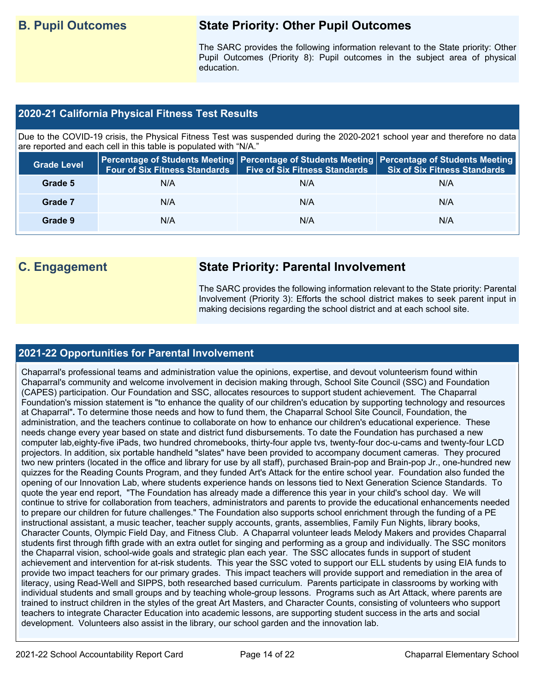## **B. Pupil Outcomes State Priority: Other Pupil Outcomes**

The SARC provides the following information relevant to the State priority: Other Pupil Outcomes (Priority 8): Pupil outcomes in the subject area of physical education.

#### **2020-21 California Physical Fitness Test Results**

Due to the COVID-19 crisis, the Physical Fitness Test was suspended during the 2020-2021 school year and therefore no data are reported and each cell in this table is populated with "N/A."

| <b>Grade Level</b> | <b>Four of Six Fitness Standards</b> | Five of Six Fitness Standards   Six of Six Fitness Standards | Percentage of Students Meeting   Percentage of Students Meeting   Percentage of Students Meeting |
|--------------------|--------------------------------------|--------------------------------------------------------------|--------------------------------------------------------------------------------------------------|
| Grade 5            | N/A                                  | N/A                                                          | N/A                                                                                              |
| Grade 7            | N/A                                  | N/A                                                          | N/A                                                                                              |
| Grade 9            | N/A                                  | N/A                                                          | N/A                                                                                              |

# **C. Engagement State Priority: Parental Involvement**

The SARC provides the following information relevant to the State priority: Parental Involvement (Priority 3): Efforts the school district makes to seek parent input in making decisions regarding the school district and at each school site.

#### **2021-22 Opportunities for Parental Involvement**

Chaparral's professional teams and administration value the opinions, expertise, and devout volunteerism found within Chaparral's community and welcome involvement in decision making through, School Site Council (SSC) and Foundation (CAPES) participation. Our Foundation and SSC, allocates resources to support student achievement. The Chaparral Foundation's mission statement is "to enhance the quality of our children's education by supporting technology and resources at Chaparral"**.** To determine those needs and how to fund them, the Chaparral School Site Council, Foundation, the administration, and the teachers continue to collaborate on how to enhance our children's educational experience. These needs change every year based on state and district fund disbursements. To date the Foundation has purchased a new computer lab,eighty-five iPads, two hundred chromebooks, thirty-four apple tvs, twenty-four doc-u-cams and twenty-four LCD projectors. In addition, six portable handheld "slates" have been provided to accompany document cameras. They procured two new printers (located in the office and library for use by all staff), purchased Brain-pop and Brain-pop Jr., one-hundred new quizzes for the Reading Counts Program, and they funded Art's Attack for the entire school year. Foundation also funded the opening of our Innovation Lab, where students experience hands on lessons tied to Next Generation Science Standards. To quote the year end report, "The Foundation has already made a difference this year in your child's school day. We will continue to strive for collaboration from teachers, administrators and parents to provide the educational enhancements needed to prepare our children for future challenges." The Foundation also supports school enrichment through the funding of a PE instructional assistant, a music teacher, teacher supply accounts, grants, assemblies, Family Fun Nights, library books, Character Counts, Olympic Field Day, and Fitness Club. A Chaparral volunteer leads Melody Makers and provides Chaparral students first through fifth grade with an extra outlet for singing and performing as a group and individually. The SSC monitors the Chaparral vision, school-wide goals and strategic plan each year. The SSC allocates funds in support of student achievement and intervention for at-risk students. This year the SSC voted to support our ELL students by using EIA funds to provide two impact teachers for our primary grades. This impact teachers will provide support and remediation in the area of literacy, using Read-Well and SIPPS, both researched based curriculum. Parents participate in classrooms by working with individual students and small groups and by teaching whole-group lessons. Programs such as Art Attack, where parents are trained to instruct children in the styles of the great Art Masters, and Character Counts, consisting of volunteers who support teachers to integrate Character Education into academic lessons, are supporting student success in the arts and social development. Volunteers also assist in the library, our school garden and the innovation lab.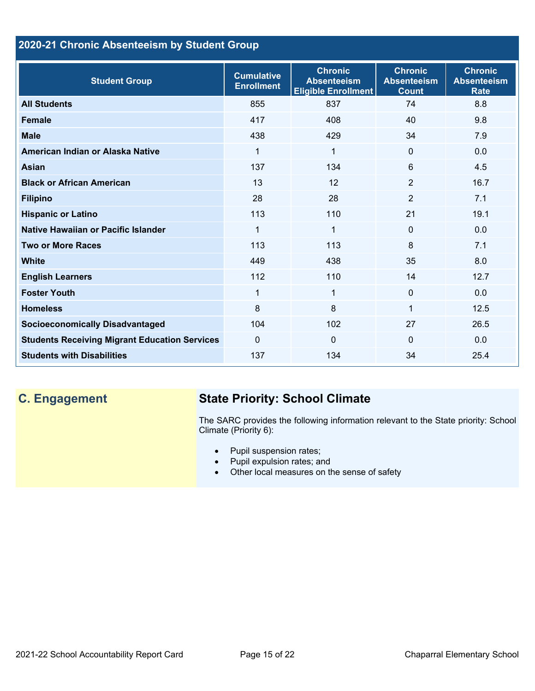### **2020-21 Chronic Absenteeism by Student Group**

| <b>Student Group</b>                                 | <b>Cumulative</b><br><b>Enrollment</b> | <b>Chronic</b><br><b>Absenteeism</b><br><b>Eligible Enrollment</b> | <b>Chronic</b><br><b>Absenteeism</b><br><b>Count</b> | <b>Chronic</b><br><b>Absenteeism</b><br><b>Rate</b> |
|------------------------------------------------------|----------------------------------------|--------------------------------------------------------------------|------------------------------------------------------|-----------------------------------------------------|
| <b>All Students</b>                                  | 855                                    | 837                                                                | 74                                                   | 8.8                                                 |
| <b>Female</b>                                        | 417                                    | 408                                                                | 40                                                   | 9.8                                                 |
| <b>Male</b>                                          | 438                                    | 429                                                                | 34                                                   | 7.9                                                 |
| American Indian or Alaska Native                     | 1                                      | 1                                                                  | $\Omega$                                             | 0.0                                                 |
| <b>Asian</b>                                         | 137                                    | 134                                                                | 6                                                    | 4.5                                                 |
| <b>Black or African American</b>                     | 13                                     | 12                                                                 | $\overline{2}$                                       | 16.7                                                |
| <b>Filipino</b>                                      | 28                                     | 28                                                                 | $\overline{2}$                                       | 7.1                                                 |
| <b>Hispanic or Latino</b>                            | 113                                    | 110                                                                | 21                                                   | 19.1                                                |
| Native Hawaiian or Pacific Islander                  | 1                                      | $\mathbf{1}$                                                       | 0                                                    | 0.0                                                 |
| <b>Two or More Races</b>                             | 113                                    | 113                                                                | 8                                                    | 7.1                                                 |
| <b>White</b>                                         | 449                                    | 438                                                                | 35                                                   | 8.0                                                 |
| <b>English Learners</b>                              | 112                                    | 110                                                                | 14                                                   | 12.7                                                |
| <b>Foster Youth</b>                                  | 1                                      | 1                                                                  | $\Omega$                                             | 0.0                                                 |
| <b>Homeless</b>                                      | 8                                      | 8                                                                  | 1                                                    | 12.5                                                |
| <b>Socioeconomically Disadvantaged</b>               | 104                                    | 102                                                                | 27                                                   | 26.5                                                |
| <b>Students Receiving Migrant Education Services</b> | $\Omega$                               | 0                                                                  | $\Omega$                                             | 0.0                                                 |
| <b>Students with Disabilities</b>                    | 137                                    | 134                                                                | 34                                                   | 25.4                                                |

# **C. Engagement State Priority: School Climate**

The SARC provides the following information relevant to the State priority: School Climate (Priority 6):

- Pupil suspension rates;
- Pupil expulsion rates; and
- Other local measures on the sense of safety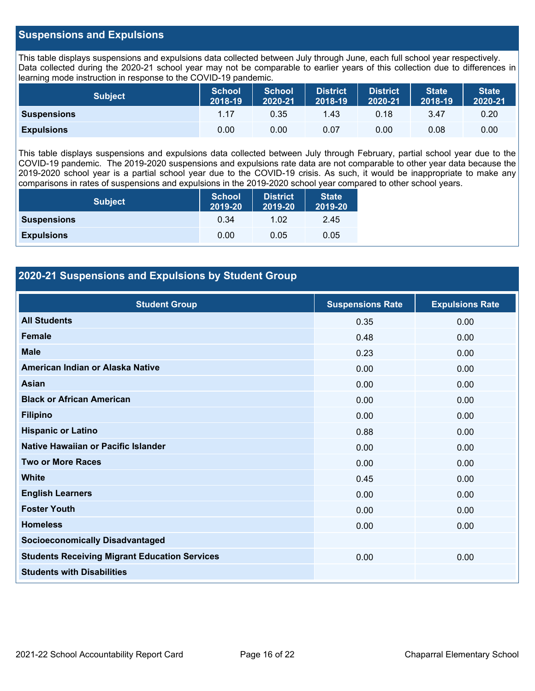#### **Suspensions and Expulsions**

This table displays suspensions and expulsions data collected between July through June, each full school year respectively. Data collected during the 2020-21 school year may not be comparable to earlier years of this collection due to differences in learning mode instruction in response to the COVID-19 pandemic.

| <b>Subject</b>     | <b>School</b><br>2018-19 | <b>School</b><br>2020-21 | <b>District</b><br>2018-19 | <b>District</b><br>2020-21 | State<br>2018-19 | <b>State</b><br>2020-21 |
|--------------------|--------------------------|--------------------------|----------------------------|----------------------------|------------------|-------------------------|
| <b>Suspensions</b> | 1.17                     | 0.35                     | 1.43                       | 0.18                       | 3.47             | 0.20                    |
| <b>Expulsions</b>  | 0.00                     | 0.00                     | 0.07                       | 0.00                       | 0.08             | 0.00                    |

This table displays suspensions and expulsions data collected between July through February, partial school year due to the COVID-19 pandemic. The 2019-2020 suspensions and expulsions rate data are not comparable to other year data because the 2019-2020 school year is a partial school year due to the COVID-19 crisis. As such, it would be inappropriate to make any comparisons in rates of suspensions and expulsions in the 2019-2020 school year compared to other school years.

| <b>Subject</b>     | <b>School</b><br>2019-20 | <b>District</b><br>2019-20 | <b>State</b><br>2019-20 |
|--------------------|--------------------------|----------------------------|-------------------------|
| <b>Suspensions</b> | 0.34                     | 1.02                       | 2.45                    |
| <b>Expulsions</b>  | 0.00                     | 0.05                       | 0.05                    |

#### **2020-21 Suspensions and Expulsions by Student Group**

| <b>Student Group</b>                                 | <b>Suspensions Rate</b> | <b>Expulsions Rate</b> |
|------------------------------------------------------|-------------------------|------------------------|
| <b>All Students</b>                                  | 0.35                    | 0.00                   |
| <b>Female</b>                                        | 0.48                    | 0.00                   |
| <b>Male</b>                                          | 0.23                    | 0.00                   |
| American Indian or Alaska Native                     | 0.00                    | 0.00                   |
| Asian                                                | 0.00                    | 0.00                   |
| <b>Black or African American</b>                     | 0.00                    | 0.00                   |
| <b>Filipino</b>                                      | 0.00                    | 0.00                   |
| <b>Hispanic or Latino</b>                            | 0.88                    | 0.00                   |
| Native Hawaiian or Pacific Islander                  | 0.00                    | 0.00                   |
| <b>Two or More Races</b>                             | 0.00                    | 0.00                   |
| <b>White</b>                                         | 0.45                    | 0.00                   |
| <b>English Learners</b>                              | 0.00                    | 0.00                   |
| <b>Foster Youth</b>                                  | 0.00                    | 0.00                   |
| <b>Homeless</b>                                      | 0.00                    | 0.00                   |
| <b>Socioeconomically Disadvantaged</b>               |                         |                        |
| <b>Students Receiving Migrant Education Services</b> | 0.00                    | 0.00                   |
| <b>Students with Disabilities</b>                    |                         |                        |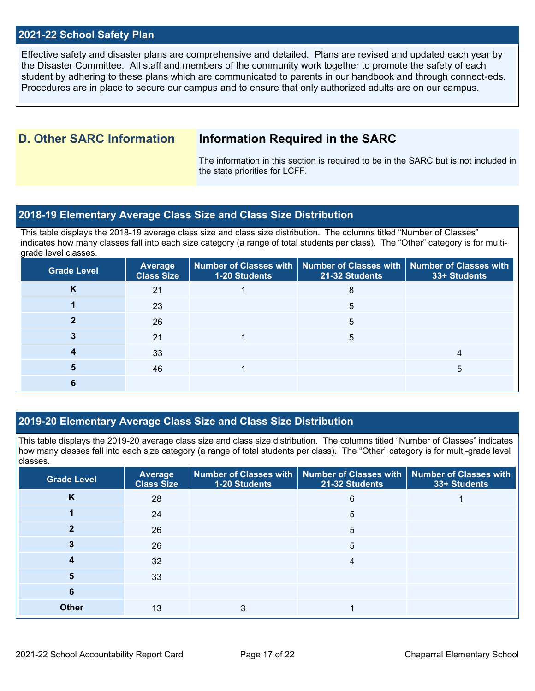#### **2021-22 School Safety Plan**

Effective safety and disaster plans are comprehensive and detailed. Plans are revised and updated each year by the Disaster Committee. All staff and members of the community work together to promote the safety of each student by adhering to these plans which are communicated to parents in our handbook and through connect-eds. Procedures are in place to secure our campus and to ensure that only authorized adults are on our campus.

### **D. Other SARC Information Information Required in the SARC**

The information in this section is required to be in the SARC but is not included in the state priorities for LCFF.

#### **2018-19 Elementary Average Class Size and Class Size Distribution**

This table displays the 2018-19 average class size and class size distribution. The columns titled "Number of Classes" indicates how many classes fall into each size category (a range of total students per class). The "Other" category is for multigrade level classes.

| <b>Grade Level</b> | Average<br><b>Class Size</b> | 1-20 Students | Number of Classes with   Number of Classes with   Number of Classes with<br>21-32 Students | 33+ Students |
|--------------------|------------------------------|---------------|--------------------------------------------------------------------------------------------|--------------|
| K                  | 21                           |               | 8                                                                                          |              |
|                    | 23                           |               | 5                                                                                          |              |
|                    | 26                           |               | 5                                                                                          |              |
|                    | 21                           |               | 5                                                                                          |              |
|                    | 33                           |               |                                                                                            |              |
|                    | 46                           |               |                                                                                            | $\mathbf{b}$ |
|                    |                              |               |                                                                                            |              |

#### **2019-20 Elementary Average Class Size and Class Size Distribution**

This table displays the 2019-20 average class size and class size distribution. The columns titled "Number of Classes" indicates how many classes fall into each size category (a range of total students per class). The "Other" category is for multi-grade level classes.

| <b>Grade Level</b> | <b>Average</b><br><b>Class Size</b> | 1-20 Students | Number of Classes with   Number of Classes with   Number of Classes with<br>21-32 Students | 33+ Students |
|--------------------|-------------------------------------|---------------|--------------------------------------------------------------------------------------------|--------------|
| K                  | 28                                  |               | 6                                                                                          |              |
|                    | 24                                  |               | 5                                                                                          |              |
| כי                 | 26                                  |               | 5                                                                                          |              |
|                    | 26                                  |               | 5                                                                                          |              |
|                    | 32                                  |               | 4                                                                                          |              |
| 5                  | 33                                  |               |                                                                                            |              |
| 6                  |                                     |               |                                                                                            |              |
| <b>Other</b>       | 13                                  | 3             |                                                                                            |              |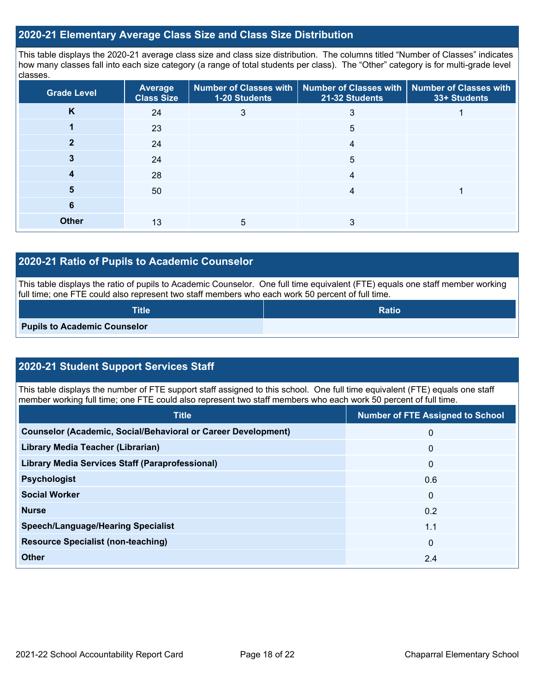#### **2020-21 Elementary Average Class Size and Class Size Distribution**

This table displays the 2020-21 average class size and class size distribution. The columns titled "Number of Classes" indicates how many classes fall into each size category (a range of total students per class). The "Other" category is for multi-grade level classes.

| <b>Grade Level</b> | Average<br><b>Class Size</b> | 1-20 Students | Number of Classes with   Number of Classes with   Number of Classes with<br>21-32 Students | 33+ Students |
|--------------------|------------------------------|---------------|--------------------------------------------------------------------------------------------|--------------|
| K                  | 24                           | 3             | 3                                                                                          |              |
|                    | 23                           |               | 5                                                                                          |              |
|                    | 24                           |               | 4                                                                                          |              |
|                    | 24                           |               | 5                                                                                          |              |
|                    | 28                           |               | 4                                                                                          |              |
| 5                  | 50                           |               | 4                                                                                          |              |
| 6                  |                              |               |                                                                                            |              |
| <b>Other</b>       | 13                           | 5             |                                                                                            |              |

#### **2020-21 Ratio of Pupils to Academic Counselor**

This table displays the ratio of pupils to Academic Counselor. One full time equivalent (FTE) equals one staff member working full time; one FTE could also represent two staff members who each work 50 percent of full time.

| Title                               | <b>Ratio</b> |
|-------------------------------------|--------------|
| <b>Pupils to Academic Counselor</b> |              |

### **2020-21 Student Support Services Staff**

This table displays the number of FTE support staff assigned to this school. One full time equivalent (FTE) equals one staff member working full time; one FTE could also represent two staff members who each work 50 percent of full time.

| <b>Title</b>                                                         | <b>Number of FTE Assigned to School</b> |
|----------------------------------------------------------------------|-----------------------------------------|
| <b>Counselor (Academic, Social/Behavioral or Career Development)</b> | 0                                       |
| Library Media Teacher (Librarian)                                    | $\mathbf{0}$                            |
| <b>Library Media Services Staff (Paraprofessional)</b>               | $\mathbf{0}$                            |
| <b>Psychologist</b>                                                  | 0.6                                     |
| <b>Social Worker</b>                                                 | $\mathbf{0}$                            |
| <b>Nurse</b>                                                         | 0.2                                     |
| <b>Speech/Language/Hearing Specialist</b>                            | 1.1                                     |
| <b>Resource Specialist (non-teaching)</b>                            | $\mathbf{0}$                            |
| <b>Other</b>                                                         | 2.4                                     |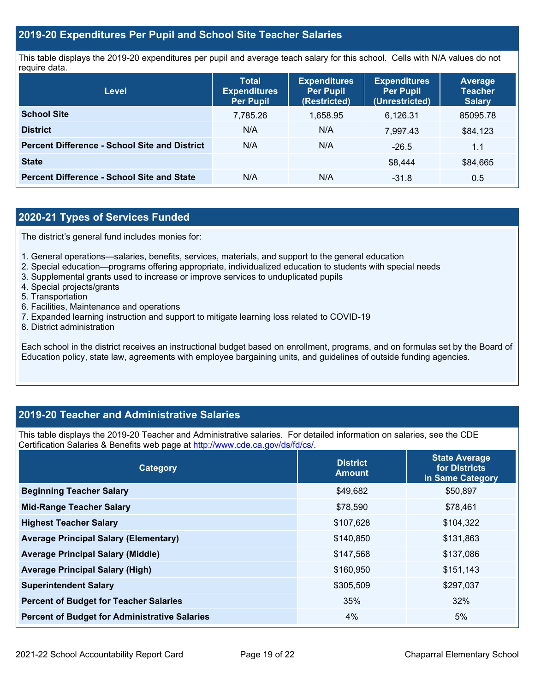#### **2019-20 Expenditures Per Pupil and School Site Teacher Salaries**

This table displays the 2019-20 expenditures per pupil and average teach salary for this school. Cells with N/A values do not require data.

| Level                                                | <b>Total</b><br><b>Expenditures</b><br><b>Per Pupil</b> | <b>Expenditures</b><br><b>Per Pupil</b><br>(Restricted) | <b>Expenditures</b><br><b>Per Pupil</b><br>(Unrestricted) | <b>Average</b><br><b>Teacher</b><br><b>Salary</b> |
|------------------------------------------------------|---------------------------------------------------------|---------------------------------------------------------|-----------------------------------------------------------|---------------------------------------------------|
| <b>School Site</b>                                   | 7,785.26                                                | 1,658.95                                                | 6.126.31                                                  | 85095.78                                          |
| <b>District</b>                                      | N/A                                                     | N/A                                                     | 7.997.43                                                  | \$84,123                                          |
| <b>Percent Difference - School Site and District</b> | N/A                                                     | N/A                                                     | $-26.5$                                                   | 1.1                                               |
| <b>State</b>                                         |                                                         |                                                         | \$8.444                                                   | \$84,665                                          |
| <b>Percent Difference - School Site and State</b>    | N/A                                                     | N/A                                                     | $-31.8$                                                   | $0.5^{\circ}$                                     |

### **2020-21 Types of Services Funded**

The district's general fund includes monies for:

- 1. General operations—salaries, benefits, services, materials, and support to the general education
- 2. Special education—programs offering appropriate, individualized education to students with special needs
- 3. Supplemental grants used to increase or improve services to unduplicated pupils
- 4. Special projects/grants
- 5. Transportation
- 6. Facilities, Maintenance and operations
- 7. Expanded learning instruction and support to mitigate learning loss related to COVID-19
- 8. District administration

Each school in the district receives an instructional budget based on enrollment, programs, and on formulas set by the Board of Education policy, state law, agreements with employee bargaining units, and guidelines of outside funding agencies.

#### **2019-20 Teacher and Administrative Salaries**

This table displays the 2019-20 Teacher and Administrative salaries. For detailed information on salaries, see the CDE Certification Salaries & Benefits web page at [http://www.cde.ca.gov/ds/fd/cs/.](http://www.cde.ca.gov/ds/fd/cs/)

| <b>Category</b>                                      | <b>District</b><br><b>Amount</b> | <b>State Average</b><br>for Districts<br>in Same Category |
|------------------------------------------------------|----------------------------------|-----------------------------------------------------------|
| <b>Beginning Teacher Salary</b>                      | \$49,682                         | \$50,897                                                  |
| <b>Mid-Range Teacher Salary</b>                      | \$78,590                         | \$78,461                                                  |
| <b>Highest Teacher Salary</b>                        | \$107,628                        | \$104,322                                                 |
| <b>Average Principal Salary (Elementary)</b>         | \$140,850                        | \$131,863                                                 |
| <b>Average Principal Salary (Middle)</b>             | \$147,568                        | \$137,086                                                 |
| <b>Average Principal Salary (High)</b>               | \$160,950                        | \$151,143                                                 |
| <b>Superintendent Salary</b>                         | \$305,509                        | \$297,037                                                 |
| <b>Percent of Budget for Teacher Salaries</b>        | 35%                              | 32%                                                       |
| <b>Percent of Budget for Administrative Salaries</b> | 4%                               | 5%                                                        |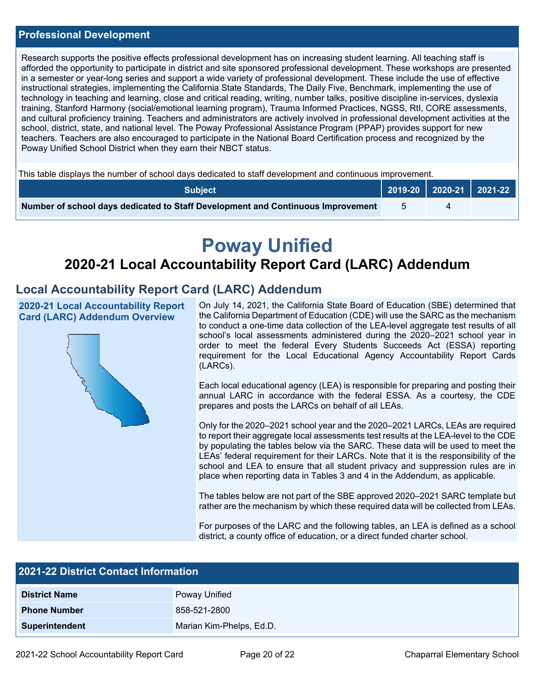#### **Professional Development**

Research supports the positive effects professional development has on increasing student learning. All teaching staff is afforded the opportunity to participate in district and site sponsored professional development. These workshops are presented in a semester or year-long series and support a wide variety of professional development. These include the use of effective instructional strategies, implementing the California State Standards, The Daily Five, Benchmark, implementing the use of technology in teaching and learning, close and critical reading, writing, number talks, positive discipline in-services, dyslexia training, Stanford Harmony (social/emotional learning program), Trauma Informed Practices, NGSS, RtI, CORE assessments, and cultural proficiency training. Teachers and administrators are actively involved in professional development activities at the school, district, state, and national level. The Poway Professional Assistance Program (PPAP) provides support for new teachers. Teachers are also encouraged to participate in the National Board Certification process and recognized by the Poway Unified School District when they earn their NBCT status.

This table displays the number of school days dedicated to staff development and continuous improvement.

| <b>Subiect</b>                                                                  |  | $\begin{array}{ c c c c c c c c c }\n\hline\n2019-20 & 2020-21 & 2021-22\n\end{array}$ |  |
|---------------------------------------------------------------------------------|--|----------------------------------------------------------------------------------------|--|
| Number of school days dedicated to Staff Development and Continuous Improvement |  |                                                                                        |  |

# **Poway Unified**

# **2020-21 Local Accountability Report Card (LARC) Addendum**

### **Local Accountability Report Card (LARC) Addendum**

**2020-21 Local Accountability Report Card (LARC) Addendum Overview**



On July 14, 2021, the California State Board of Education (SBE) determined that the California Department of Education (CDE) will use the SARC as the mechanism to conduct a one-time data collection of the LEA-level aggregate test results of all school's local assessments administered during the 2020–2021 school year in order to meet the federal Every Students Succeeds Act (ESSA) reporting requirement for the Local Educational Agency Accountability Report Cards (LARCs).

Each local educational agency (LEA) is responsible for preparing and posting their annual LARC in accordance with the federal ESSA. As a courtesy, the CDE prepares and posts the LARCs on behalf of all LEAs.

Only for the 2020–2021 school year and the 2020–2021 LARCs, LEAs are required to report their aggregate local assessments test results at the LEA-level to the CDE by populating the tables below via the SARC. These data will be used to meet the LEAs' federal requirement for their LARCs. Note that it is the responsibility of the school and LEA to ensure that all student privacy and suppression rules are in place when reporting data in Tables 3 and 4 in the Addendum, as applicable.

The tables below are not part of the SBE approved 2020–2021 SARC template but rather are the mechanism by which these required data will be collected from LEAs.

For purposes of the LARC and the following tables, an LEA is defined as a school district, a county office of education, or a direct funded charter school.

| <b>2021-22 District Contact Information</b> |                          |  |  |  |
|---------------------------------------------|--------------------------|--|--|--|
| <b>District Name</b>                        | Poway Unified            |  |  |  |
| <b>Phone Number</b>                         | 858-521-2800             |  |  |  |
| <b>Superintendent</b>                       | Marian Kim-Phelps, Ed.D. |  |  |  |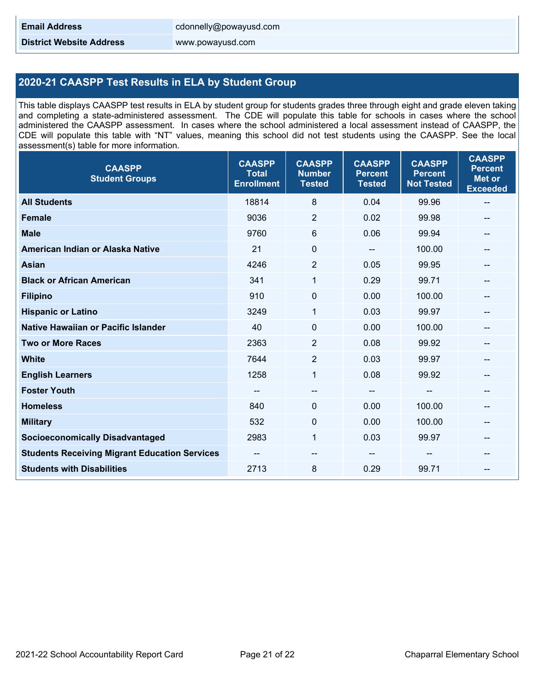**District Website Address** www.powayusd.com

#### **2020-21 CAASPP Test Results in ELA by Student Group**

This table displays CAASPP test results in ELA by student group for students grades three through eight and grade eleven taking and completing a state-administered assessment. The CDE will populate this table for schools in cases where the school administered the CAASPP assessment. In cases where the school administered a local assessment instead of CAASPP, the CDE will populate this table with "NT" values, meaning this school did not test students using the CAASPP. See the local assessment(s) table for more information.

| <b>CAASPP</b><br><b>Student Groups</b>               | <b>CAASPP</b><br><b>Total</b><br><b>Enrollment</b> | <b>CAASPP</b><br><b>Number</b><br><b>Tested</b> | <b>CAASPP</b><br><b>Percent</b><br><b>Tested</b> | <b>CAASPP</b><br><b>Percent</b><br><b>Not Tested</b> | <b>CAASPP</b><br><b>Percent</b><br><b>Met or</b><br><b>Exceeded</b> |
|------------------------------------------------------|----------------------------------------------------|-------------------------------------------------|--------------------------------------------------|------------------------------------------------------|---------------------------------------------------------------------|
| <b>All Students</b>                                  | 18814                                              | 8                                               | 0.04                                             | 99.96                                                | $\overline{\phantom{m}}$                                            |
| <b>Female</b>                                        | 9036                                               | $\overline{2}$                                  | 0.02                                             | 99.98                                                | --                                                                  |
| <b>Male</b>                                          | 9760                                               | 6                                               | 0.06                                             | 99.94                                                | --                                                                  |
| American Indian or Alaska Native                     | 21                                                 | 0                                               |                                                  | 100.00                                               |                                                                     |
| <b>Asian</b>                                         | 4246                                               | $\overline{2}$                                  | 0.05                                             | 99.95                                                | $\overline{\phantom{m}}$                                            |
| <b>Black or African American</b>                     | 341                                                | $\mathbf{1}$                                    | 0.29                                             | 99.71                                                |                                                                     |
| <b>Filipino</b>                                      | 910                                                | $\mathbf 0$                                     | 0.00                                             | 100.00                                               | --                                                                  |
| <b>Hispanic or Latino</b>                            | 3249                                               | 1                                               | 0.03                                             | 99.97                                                | --                                                                  |
| <b>Native Hawaiian or Pacific Islander</b>           | 40                                                 | 0                                               | 0.00                                             | 100.00                                               |                                                                     |
| <b>Two or More Races</b>                             | 2363                                               | $\overline{2}$                                  | 0.08                                             | 99.92                                                | $\overline{\phantom{a}}$                                            |
| <b>White</b>                                         | 7644                                               | $\overline{2}$                                  | 0.03                                             | 99.97                                                |                                                                     |
| <b>English Learners</b>                              | 1258                                               | 1                                               | 0.08                                             | 99.92                                                | --                                                                  |
| <b>Foster Youth</b>                                  | $\overline{\phantom{a}}$                           | --                                              | --                                               | --                                                   | $- -$                                                               |
| <b>Homeless</b>                                      | 840                                                | 0                                               | 0.00                                             | 100.00                                               |                                                                     |
| <b>Military</b>                                      | 532                                                | 0                                               | 0.00                                             | 100.00                                               | $\overline{\phantom{a}}$                                            |
| <b>Socioeconomically Disadvantaged</b>               | 2983                                               | $\mathbf{1}$                                    | 0.03                                             | 99.97                                                |                                                                     |
| <b>Students Receiving Migrant Education Services</b> | $\sim$                                             | $-$                                             | --                                               | --                                                   | --                                                                  |
| <b>Students with Disabilities</b>                    | 2713                                               | 8                                               | 0.29                                             | 99.71                                                | $- -$                                                               |